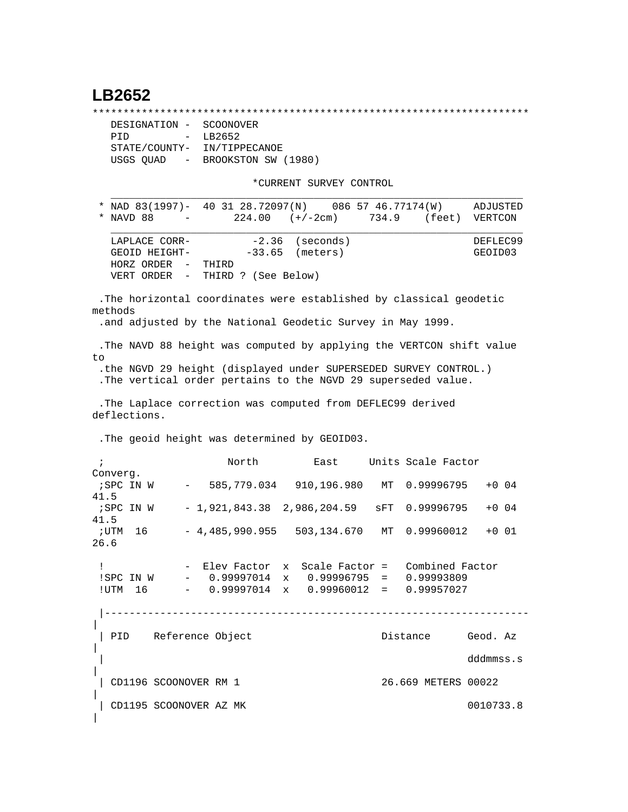## **LB2652**

|

\*\*\*\*\*\*\*\*\*\*\*\*\*\*\*\*\*\*\*\*\*\*\*\*\*\*\*\*\*\*\*\*\*\*\*\*\*\*\*\*\*\*\*\*\*\*\*\*\*\*\*\*\*\*\*\*\*\*\*\*\*\*\*\*\*\*\*\*\*\*\*

 DESIGNATION - SCOONOVER PID - LB2652 STATE/COUNTY- IN/TIPPECANOE USGS QUAD - BROOKSTON SW (1980)

\*CURRENT SURVEY CONTROL

 \* NAD 83(1997)- 40 31 28.72097(N) 086 57 46.77174(W) ADJUSTED \* NAVD 88 - 224.00 (+/-2cm) 734.9 (feet) VERTCON  $\mathcal{L} = \{ \mathcal{L} = \{ \mathcal{L} \mid \mathcal{L} = \{ \mathcal{L} \mid \mathcal{L} = \{ \mathcal{L} \mid \mathcal{L} = \{ \mathcal{L} \mid \mathcal{L} = \{ \mathcal{L} \mid \mathcal{L} = \{ \mathcal{L} \mid \mathcal{L} = \{ \mathcal{L} \mid \mathcal{L} = \{ \mathcal{L} \mid \mathcal{L} = \{ \mathcal{L} \mid \mathcal{L} = \{ \mathcal{L} \mid \mathcal{L} = \{ \mathcal{L} \mid \mathcal{L} = \{ \mathcal{L} \mid \mathcal{L} =$ LAPLACE CORR-  $-2.36$  (seconds) DEFLEC99 GEOID HEIGHT- -33.65 (meters) GEOID03 HORZ ORDER - THIRD VERT ORDER - THIRD ? (See Below)

 $\mathcal{L} = \{ \mathcal{L} = \{ \mathcal{L} \} \cup \{ \mathcal{L} \} \cup \{ \mathcal{L} \} \cup \{ \mathcal{L} \} \cup \{ \mathcal{L} \} \cup \{ \mathcal{L} \} \cup \{ \mathcal{L} \} \cup \{ \mathcal{L} \} \cup \{ \mathcal{L} \} \cup \{ \mathcal{L} \} \cup \{ \mathcal{L} \} \cup \{ \mathcal{L} \} \cup \{ \mathcal{L} \} \cup \{ \mathcal{L} \} \cup \{ \mathcal{L} \} \cup \{ \mathcal{L} \} \cup \{ \mathcal{L} \} \cup$ 

 .The horizontal coordinates were established by classical geodetic methods .and adjusted by the National Geodetic Survey in May 1999. .The NAVD 88 height was computed by applying the VERTCON shift value to .the NGVD 29 height (displayed under SUPERSEDED SURVEY CONTROL.) .The vertical order pertains to the NGVD 29 superseded value. .The Laplace correction was computed from DEFLEC99 derived deflections. .The geoid height was determined by GEOID03. ; North East Units Scale Factor Converg. ;SPC IN W - 585,779.034 910,196.980 MT 0.99996795 +0 04 41.5 ;SPC IN W - 1,921,843.38 2,986,204.59 sFT 0.99996795 +0 04 41.5 ;UTM 16 - 4,485,990.955 503,134.670 MT 0.99960012 +0 01 26.6 ! - Elev Factor x Scale Factor = Combined Factor !SPC IN W - 0.99997014 x 0.99996795 = 0.99993809 !UTM 16 - 0.99997014 x 0.99960012 = 0.99957027 |--------------------------------------------------------------------- | | PID Reference Object Distance Geod. Az | | dddmmss.s | | CD1196 SCOONOVER RM 1 26.669 METERS 00022 | | CD1195 SCOONOVER AZ MK 0010733.8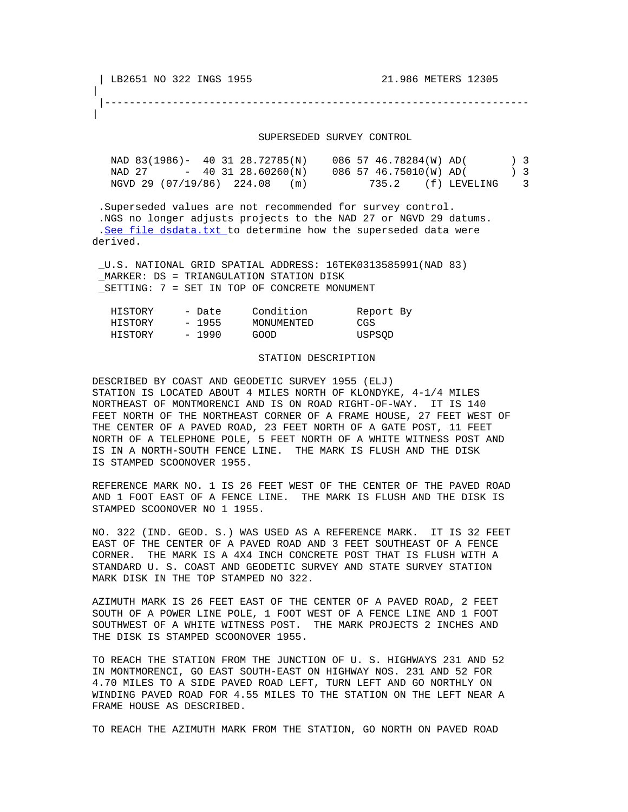|

|

|---------------------------------------------------------------------

## SUPERSEDED SURVEY CONTROL

| NAD 83(1986)- 40 31 28.72785(N) |                    |     | 086 57 46.78284(W) AD( |              |                    | 3 <sup>3</sup>          |
|---------------------------------|--------------------|-----|------------------------|--------------|--------------------|-------------------------|
| NAD 27                          | $-403128.60260(N)$ |     | 086 57 46.75010(W) AD( |              | $\left  \right $ 3 |                         |
| NGVD 29 (07/19/86) 224.08       |                    | (m) | 735.2                  | (f) LEVELING |                    | $\overline{\mathbf{3}}$ |

 .Superseded values are not recommended for survey control. .NGS no longer adjusts projects to the NAD 27 or NGVD 29 datums. .[See file dsdata.txt](http://www.ngs.noaa.gov/cgi-bin/ds_lookup.prl?Item=HOW_SUP_DET) to determine how the superseded data were derived.

 \_U.S. NATIONAL GRID SPATIAL ADDRESS: 16TEK0313585991(NAD 83) \_MARKER: DS = TRIANGULATION STATION DISK \_SETTING: 7 = SET IN TOP OF CONCRETE MONUMENT

| HISTORY | - Date  |      | Condition  | Report By |  |
|---------|---------|------|------------|-----------|--|
| HISTORY | $-1955$ |      | MONUMENTED | CGS       |  |
| HISTORY | $-1990$ | GOOD |            | USPSOD    |  |

## STATION DESCRIPTION

DESCRIBED BY COAST AND GEODETIC SURVEY 1955 (ELJ) STATION IS LOCATED ABOUT 4 MILES NORTH OF KLONDYKE, 4-1/4 MILES NORTHEAST OF MONTMORENCI AND IS ON ROAD RIGHT-OF-WAY. IT IS 140 FEET NORTH OF THE NORTHEAST CORNER OF A FRAME HOUSE, 27 FEET WEST OF THE CENTER OF A PAVED ROAD, 23 FEET NORTH OF A GATE POST, 11 FEET NORTH OF A TELEPHONE POLE, 5 FEET NORTH OF A WHITE WITNESS POST AND IS IN A NORTH-SOUTH FENCE LINE. THE MARK IS FLUSH AND THE DISK IS STAMPED SCOONOVER 1955.

REFERENCE MARK NO. 1 IS 26 FEET WEST OF THE CENTER OF THE PAVED ROAD AND 1 FOOT EAST OF A FENCE LINE. THE MARK IS FLUSH AND THE DISK IS STAMPED SCOONOVER NO 1 1955.

NO. 322 (IND. GEOD. S.) WAS USED AS A REFERENCE MARK. IT IS 32 FEET EAST OF THE CENTER OF A PAVED ROAD AND 3 FEET SOUTHEAST OF A FENCE CORNER. THE MARK IS A 4X4 INCH CONCRETE POST THAT IS FLUSH WITH A STANDARD U. S. COAST AND GEODETIC SURVEY AND STATE SURVEY STATION MARK DISK IN THE TOP STAMPED NO 322.

AZIMUTH MARK IS 26 FEET EAST OF THE CENTER OF A PAVED ROAD, 2 FEET SOUTH OF A POWER LINE POLE, 1 FOOT WEST OF A FENCE LINE AND 1 FOOT SOUTHWEST OF A WHITE WITNESS POST. THE MARK PROJECTS 2 INCHES AND THE DISK IS STAMPED SCOONOVER 1955.

TO REACH THE STATION FROM THE JUNCTION OF U. S. HIGHWAYS 231 AND 52 IN MONTMORENCI, GO EAST SOUTH-EAST ON HIGHWAY NOS. 231 AND 52 FOR 4.70 MILES TO A SIDE PAVED ROAD LEFT, TURN LEFT AND GO NORTHLY ON WINDING PAVED ROAD FOR 4.55 MILES TO THE STATION ON THE LEFT NEAR A FRAME HOUSE AS DESCRIBED.

TO REACH THE AZIMUTH MARK FROM THE STATION, GO NORTH ON PAVED ROAD